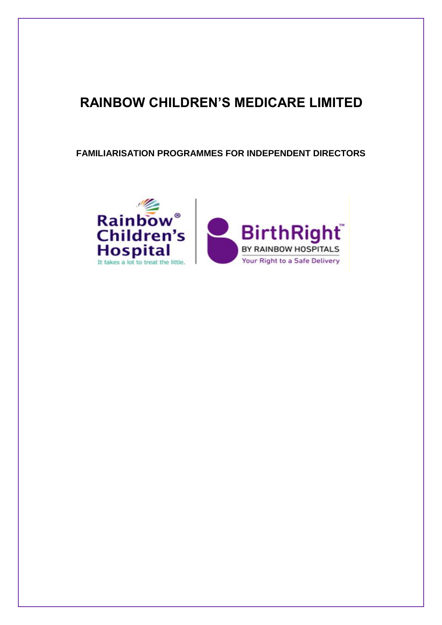# **RAINBOW CHILDREN'S MEDICARE LIMITED**

**FAMILIARISATION PROGRAMMES FOR INDEPENDENT DIRECTORS**

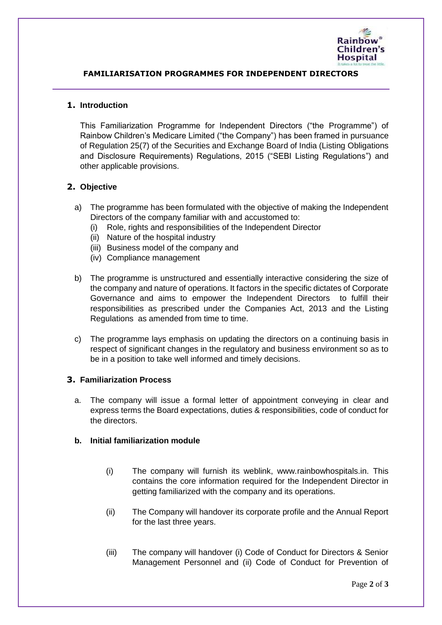

# **FAMILIARISATION PROGRAMMES FOR INDEPENDENT DIRECTORS**

## **1. Introduction**

This Familiarization Programme for Independent Directors ("the Programme") of Rainbow Children's Medicare Limited ("the Company") has been framed in pursuance of Regulation 25(7) of the Securities and Exchange Board of India (Listing Obligations and Disclosure Requirements) Regulations, 2015 ("SEBI Listing Regulations") and other applicable provisions.

# **2. Objective**

- a) The programme has been formulated with the objective of making the Independent Directors of the company familiar with and accustomed to:
	- (i) Role, rights and responsibilities of the Independent Director
	- (ii) Nature of the hospital industry
	- (iii) Business model of the company and
	- (iv) Compliance management
- b) The programme is unstructured and essentially interactive considering the size of the company and nature of operations. It factors in the specific dictates of Corporate Governance and aims to empower the Independent Directors to fulfill their responsibilities as prescribed under the Companies Act, 2013 and the Listing Regulations as amended from time to time.
- c) The programme lays emphasis on updating the directors on a continuing basis in respect of significant changes in the regulatory and business environment so as to be in a position to take well informed and timely decisions.

## **3. Familiarization Process**

a. The company will issue a formal letter of appointment conveying in clear and express terms the Board expectations, duties & responsibilities, code of conduct for the directors.

## **b. Initial familiarization module**

- (i) The company will furnish its weblink, www.rainbowhospitals.in. This contains the core information required for the Independent Director in getting familiarized with the company and its operations.
- (ii) The Company will handover its corporate profile and the Annual Report for the last three years.
- (iii) The company will handover (i) Code of Conduct for Directors & Senior Management Personnel and (ii) Code of Conduct for Prevention of